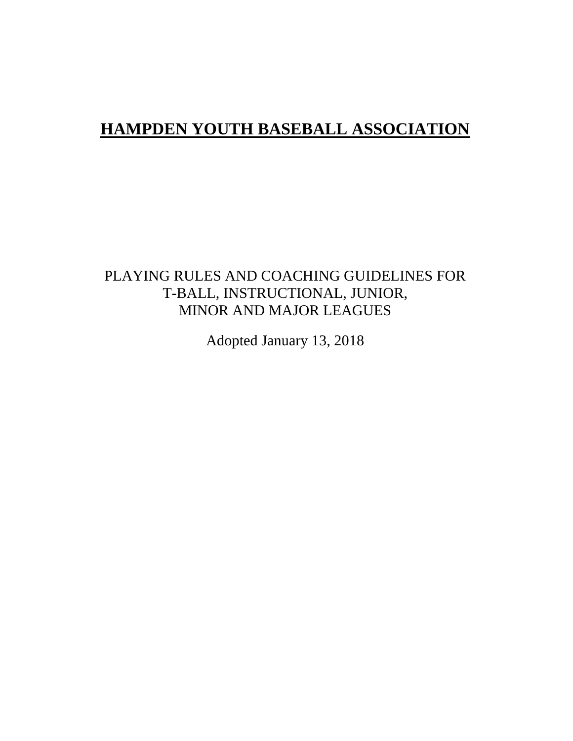# **HAMPDEN YOUTH BASEBALL ASSOCIATION**

## PLAYING RULES AND COACHING GUIDELINES FOR T-BALL, INSTRUCTIONAL, JUNIOR, MINOR AND MAJOR LEAGUES

Adopted January 13, 2018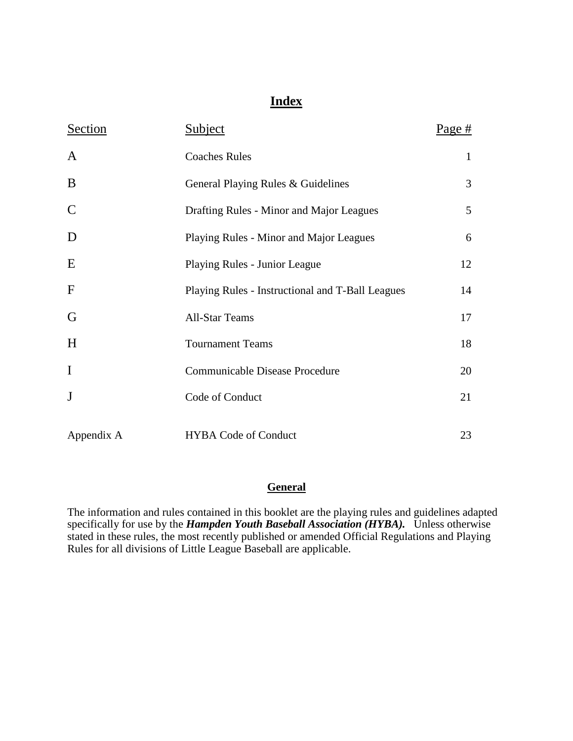## **Index**

| Section      | Subject                                          | Page $#$     |
|--------------|--------------------------------------------------|--------------|
| A            | <b>Coaches Rules</b>                             | $\mathbf{1}$ |
| B            | General Playing Rules & Guidelines               | 3            |
| $\mathbf C$  | Drafting Rules - Minor and Major Leagues         | 5            |
| D            | Playing Rules - Minor and Major Leagues          | 6            |
| E            | Playing Rules - Junior League                    | 12           |
| $\mathbf{F}$ | Playing Rules - Instructional and T-Ball Leagues | 14           |
| G            | <b>All-Star Teams</b>                            | 17           |
| H            | <b>Tournament Teams</b>                          | 18           |
| $\mathbf I$  | <b>Communicable Disease Procedure</b>            | 20           |
| J            | Code of Conduct                                  | 21           |
| Appendix A   | <b>HYBA Code of Conduct</b>                      | 23           |

## **General**

The information and rules contained in this booklet are the playing rules and guidelines adapted specifically for use by the *Hampden Youth Baseball Association (HYBA)*. Unless otherwise stated in these rules, the most recently published or amended Official Regulations and Playing Rules for all divisions of Little League Baseball are applicable.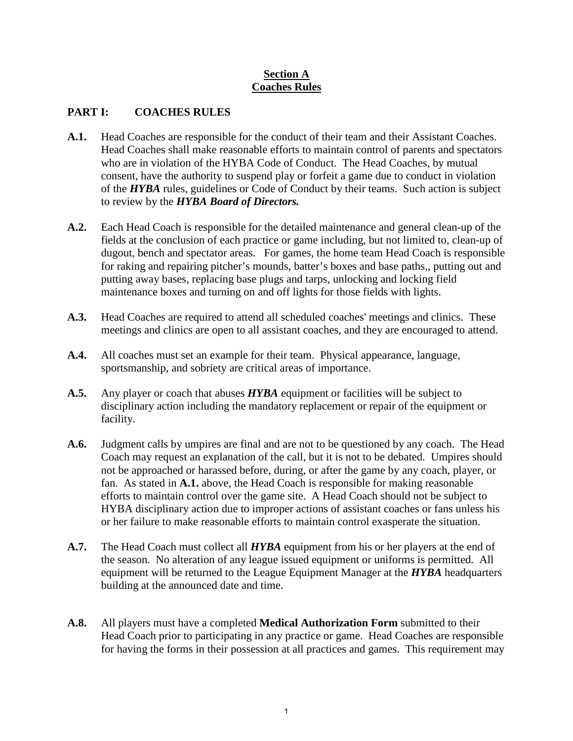## **Section A Coaches Rules**

## <span id="page-2-0"></span>**PART I: COACHES RULES**

- **A.1.** Head Coaches are responsible for the conduct of their team and their Assistant Coaches. Head Coaches shall make reasonable efforts to maintain control of parents and spectators who are in violation of the HYBA Code of Conduct. The Head Coaches, by mutual consent, have the authority to suspend play or forfeit a game due to conduct in violation of the *HYBA* rules, guidelines or Code of Conduct by their teams. Such action is subject to review by the *HYBA Board of Directors.*
- **A.2.** Each Head Coach is responsible for the detailed maintenance and general clean-up of the fields at the conclusion of each practice or game including, but not limited to, clean-up of dugout, bench and spectator areas. For games, the home team Head Coach is responsible for raking and repairing pitcher's mounds, batter's boxes and base paths,, putting out and putting away bases, replacing base plugs and tarps, unlocking and locking field maintenance boxes and turning on and off lights for those fields with lights.
- **A.3.** Head Coaches are required to attend all scheduled coaches' meetings and clinics. These meetings and clinics are open to all assistant coaches, and they are encouraged to attend.
- **A.4.** All coaches must set an example for their team. Physical appearance, language, sportsmanship, and sobriety are critical areas of importance.
- **A.5.** Any player or coach that abuses *HYBA* equipment or facilities will be subject to disciplinary action including the mandatory replacement or repair of the equipment or facility.
- **A.6.** Judgment calls by umpires are final and are not to be questioned by any coach. The Head Coach may request an explanation of the call, but it is not to be debated. Umpires should not be approached or harassed before, during, or after the game by any coach, player, or fan. As stated in **A.1.** above, the Head Coach is responsible for making reasonable efforts to maintain control over the game site. A Head Coach should not be subject to HYBA disciplinary action due to improper actions of assistant coaches or fans unless his or her failure to make reasonable efforts to maintain control exasperate the situation.
- **A.7.** The Head Coach must collect all *HYBA* equipment from his or her players at the end of the season. No alteration of any league issued equipment or uniforms is permitted. All equipment will be returned to the League Equipment Manager at the *HYBA* headquarters building at the announced date and time.
- **A.8.** All players must have a completed **Medical Authorization Form** submitted to their Head Coach prior to participating in any practice or game. Head Coaches are responsible for having the forms in their possession at all practices and games. This requirement may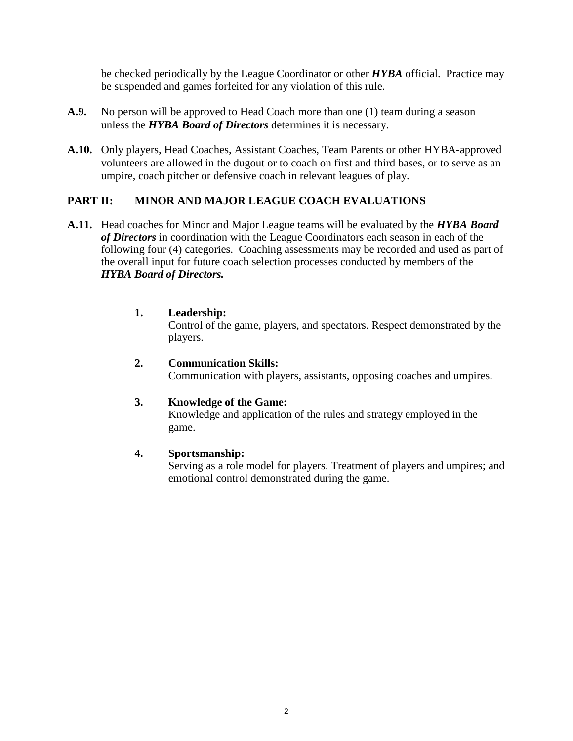be checked periodically by the League Coordinator or other *HYBA* official. Practice may be suspended and games forfeited for any violation of this rule.

- **A.9.** No person will be approved to Head Coach more than one (1) team during a season unless the *HYBA Board of Directors* determines it is necessary.
- **A.10.** Only players, Head Coaches, Assistant Coaches, Team Parents or other HYBA-approved volunteers are allowed in the dugout or to coach on first and third bases, or to serve as an umpire, coach pitcher or defensive coach in relevant leagues of play.

## **PART II: MINOR AND MAJOR LEAGUE COACH EVALUATIONS**

**A.11.** Head coaches for Minor and Major League teams will be evaluated by the *HYBA Board of Directors* in coordination with the League Coordinators each season in each of the following four (4) categories. Coaching assessments may be recorded and used as part of the overall input for future coach selection processes conducted by members of the *HYBA Board of Directors.*

## **1. Leadership:**

Control of the game, players, and spectators. Respect demonstrated by the players.

## **2. Communication Skills:**

Communication with players, assistants, opposing coaches and umpires.

## **3. Knowledge of the Game:**

Knowledge and application of the rules and strategy employed in the game.

## **4. Sportsmanship:**

Serving as a role model for players. Treatment of players and umpires; and emotional control demonstrated during the game.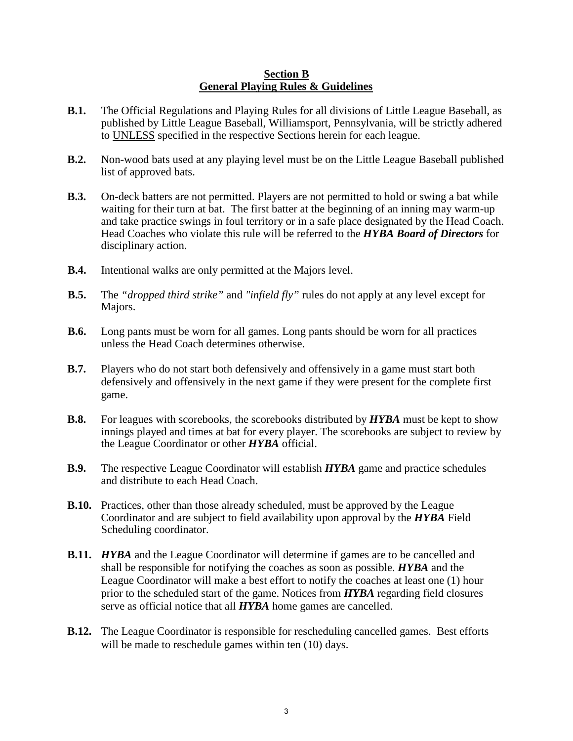#### **Section B General Playing Rules & Guidelines**

- <span id="page-4-0"></span>**B.1.** The Official Regulations and Playing Rules for all divisions of Little League Baseball, as published by Little League Baseball, Williamsport, Pennsylvania, will be strictly adhered to UNLESS specified in the respective Sections herein for each league.
- **B.2.** Non-wood bats used at any playing level must be on the Little League Baseball published list of approved bats.
- **B.3.** On-deck batters are not permitted. Players are not permitted to hold or swing a bat while waiting for their turn at bat. The first batter at the beginning of an inning may warm-up and take practice swings in foul territory or in a safe place designated by the Head Coach. Head Coaches who violate this rule will be referred to the *HYBA Board of Directors* for disciplinary action.
- **B.4.** Intentional walks are only permitted at the Majors level.
- **B.5.** The *"dropped third strike"* and *"infield fly"* rules do not apply at any level except for Majors.
- **B.6.** Long pants must be worn for all games. Long pants should be worn for all practices unless the Head Coach determines otherwise.
- **B.7.** Players who do not start both defensively and offensively in a game must start both defensively and offensively in the next game if they were present for the complete first game.
- **B.8.** For leagues with scorebooks, the scorebooks distributed by *HYBA* must be kept to show innings played and times at bat for every player. The scorebooks are subject to review by the League Coordinator or other *HYBA* official.
- **B.9.** The respective League Coordinator will establish *HYBA* game and practice schedules and distribute to each Head Coach.
- **B.10.** Practices, other than those already scheduled, must be approved by the League Coordinator and are subject to field availability upon approval by the *HYBA* Field Scheduling coordinator.
- **B.11.** *HYBA* and the League Coordinator will determine if games are to be cancelled and shall be responsible for notifying the coaches as soon as possible. *HYBA* and the League Coordinator will make a best effort to notify the coaches at least one (1) hour prior to the scheduled start of the game. Notices from *HYBA* regarding field closures serve as official notice that all *HYBA* home games are cancelled.
- **B.12.** The League Coordinator is responsible for rescheduling cancelled games. Best efforts will be made to reschedule games within ten  $(10)$  days.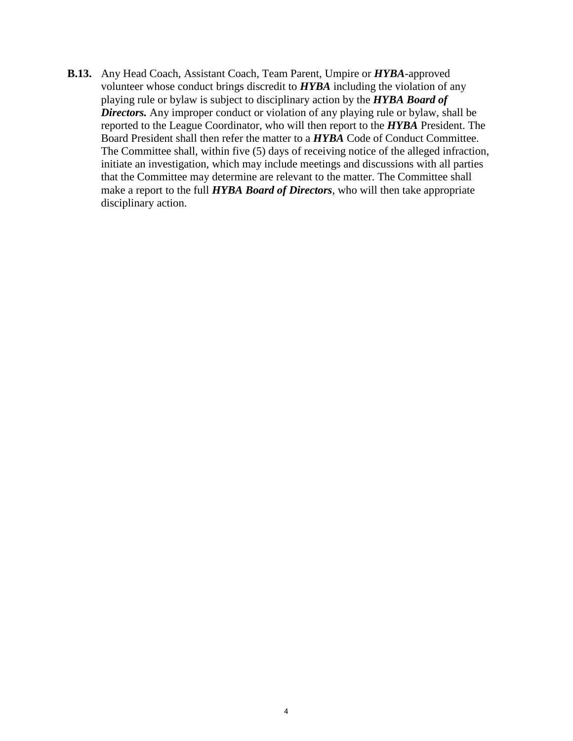**B.13.** Any Head Coach, Assistant Coach, Team Parent, Umpire or *HYBA*-approved volunteer whose conduct brings discredit to *HYBA* including the violation of any playing rule or bylaw is subject to disciplinary action by the *HYBA Board of Directors.* Any improper conduct or violation of any playing rule or bylaw, shall be reported to the League Coordinator, who will then report to the *HYBA* President. The Board President shall then refer the matter to a *HYBA* Code of Conduct Committee. The Committee shall, within five (5) days of receiving notice of the alleged infraction, initiate an investigation, which may include meetings and discussions with all parties that the Committee may determine are relevant to the matter. The Committee shall make a report to the full *HYBA Board of Directors*, who will then take appropriate disciplinary action.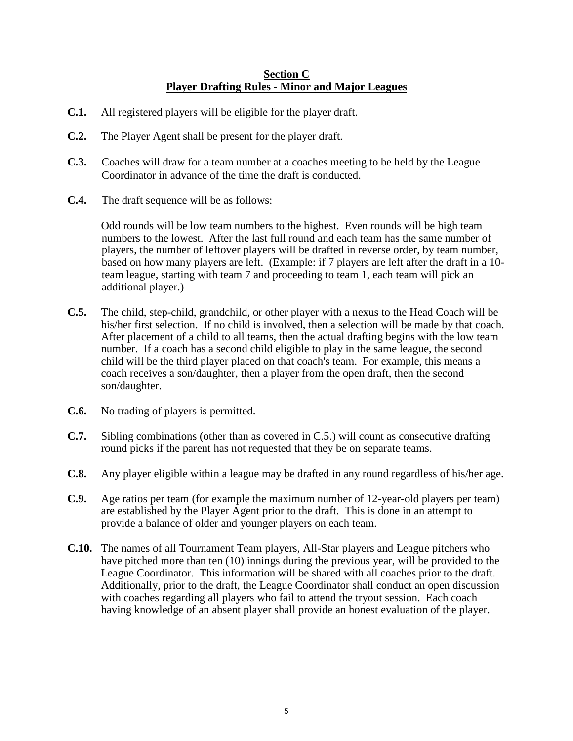## **Section C Player Drafting Rules - Minor and Major Leagues**

- <span id="page-6-0"></span>**C.1.** All registered players will be eligible for the player draft.
- **C.2.** The Player Agent shall be present for the player draft.
- **C.3.** Coaches will draw for a team number at a coaches meeting to be held by the League Coordinator in advance of the time the draft is conducted.
- **C.4.** The draft sequence will be as follows:

Odd rounds will be low team numbers to the highest. Even rounds will be high team numbers to the lowest. After the last full round and each team has the same number of players, the number of leftover players will be drafted in reverse order, by team number, based on how many players are left. (Example: if 7 players are left after the draft in a 10 team league, starting with team 7 and proceeding to team 1, each team will pick an additional player.)

- **C.5.** The child, step-child, grandchild, or other player with a nexus to the Head Coach will be his/her first selection. If no child is involved, then a selection will be made by that coach. After placement of a child to all teams, then the actual drafting begins with the low team number. If a coach has a second child eligible to play in the same league, the second child will be the third player placed on that coach's team. For example, this means a coach receives a son/daughter, then a player from the open draft, then the second son/daughter.
- **C.6.** No trading of players is permitted.
- **C.7.** Sibling combinations (other than as covered in C.5.) will count as consecutive drafting round picks if the parent has not requested that they be on separate teams.
- **C.8.** Any player eligible within a league may be drafted in any round regardless of his/her age.
- **C.9.** Age ratios per team (for example the maximum number of 12-year-old players per team) are established by the Player Agent prior to the draft. This is done in an attempt to provide a balance of older and younger players on each team.
- **C.10.** The names of all Tournament Team players, All-Star players and League pitchers who have pitched more than ten (10) innings during the previous year, will be provided to the League Coordinator. This information will be shared with all coaches prior to the draft. Additionally, prior to the draft, the League Coordinator shall conduct an open discussion with coaches regarding all players who fail to attend the tryout session. Each coach having knowledge of an absent player shall provide an honest evaluation of the player.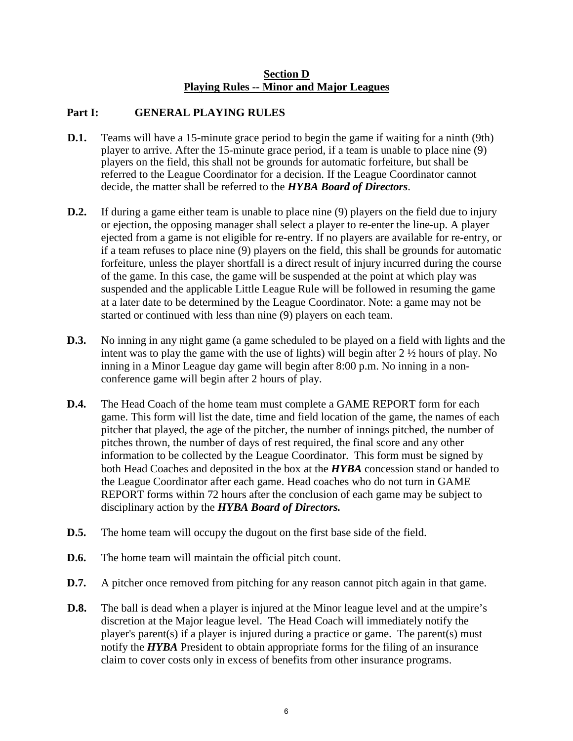## **Section D Playing Rules -- Minor and Major Leagues**

## <span id="page-7-0"></span>**Part I: GENERAL PLAYING RULES**

- **D.1.** Teams will have a 15-minute grace period to begin the game if waiting for a ninth (9th) player to arrive. After the 15-minute grace period, if a team is unable to place nine (9) players on the field, this shall not be grounds for automatic forfeiture, but shall be referred to the League Coordinator for a decision. If the League Coordinator cannot decide, the matter shall be referred to the *HYBA Board of Directors*.
- **D.2.** If during a game either team is unable to place nine (9) players on the field due to injury or ejection, the opposing manager shall select a player to re-enter the line-up. A player ejected from a game is not eligible for re-entry. If no players are available for re-entry, or if a team refuses to place nine (9) players on the field, this shall be grounds for automatic forfeiture, unless the player shortfall is a direct result of injury incurred during the course of the game. In this case, the game will be suspended at the point at which play was suspended and the applicable Little League Rule will be followed in resuming the game at a later date to be determined by the League Coordinator. Note: a game may not be started or continued with less than nine (9) players on each team.
- **D.3.** No inning in any night game (a game scheduled to be played on a field with lights and the intent was to play the game with the use of lights) will begin after 2 ½ hours of play. No inning in a Minor League day game will begin after 8:00 p.m. No inning in a nonconference game will begin after 2 hours of play.
- **D.4.** The Head Coach of the home team must complete a GAME REPORT form for each game. This form will list the date, time and field location of the game, the names of each pitcher that played, the age of the pitcher, the number of innings pitched, the number of pitches thrown, the number of days of rest required, the final score and any other information to be collected by the League Coordinator. This form must be signed by both Head Coaches and deposited in the box at the *HYBA* concession stand or handed to the League Coordinator after each game. Head coaches who do not turn in GAME REPORT forms within 72 hours after the conclusion of each game may be subject to disciplinary action by the *HYBA Board of Directors.*
- **D.5.** The home team will occupy the dugout on the first base side of the field.
- **D.6.** The home team will maintain the official pitch count.
- **D.7.** A pitcher once removed from pitching for any reason cannot pitch again in that game.
- **D.8.** The ball is dead when a player is injured at the Minor league level and at the umpire's discretion at the Major league level. The Head Coach will immediately notify the player's parent(s) if a player is injured during a practice or game. The parent(s) must notify the *HYBA* President to obtain appropriate forms for the filing of an insurance claim to cover costs only in excess of benefits from other insurance programs.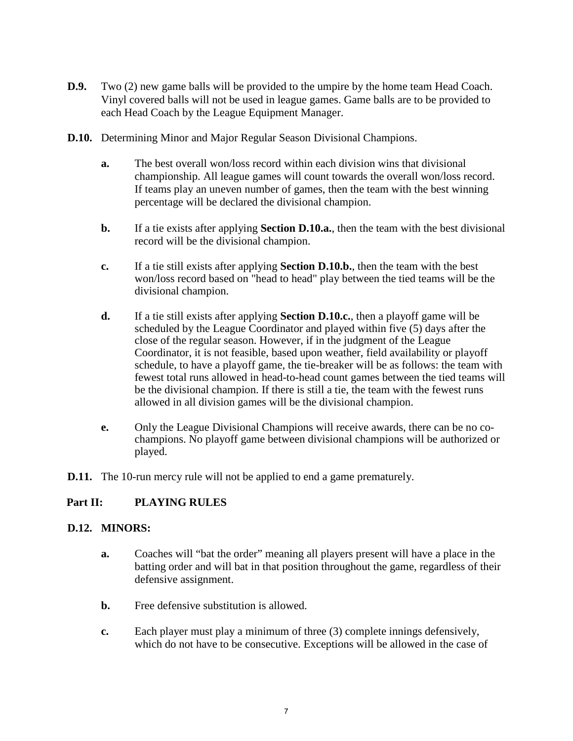- **D.9.** Two (2) new game balls will be provided to the umpire by the home team Head Coach. Vinyl covered balls will not be used in league games. Game balls are to be provided to each Head Coach by the League Equipment Manager.
- **D.10.** Determining Minor and Major Regular Season Divisional Champions.
	- **a.** The best overall won/loss record within each division wins that divisional championship. All league games will count towards the overall won/loss record. If teams play an uneven number of games, then the team with the best winning percentage will be declared the divisional champion.
	- **b.** If a tie exists after applying **Section D.10.a.**, then the team with the best divisional record will be the divisional champion.
	- **c.** If a tie still exists after applying **Section D.10.b.**, then the team with the best won/loss record based on "head to head" play between the tied teams will be the divisional champion.
	- **d.** If a tie still exists after applying **Section D.10.c.**, then a playoff game will be scheduled by the League Coordinator and played within five (5) days after the close of the regular season. However, if in the judgment of the League Coordinator, it is not feasible, based upon weather, field availability or playoff schedule, to have a playoff game, the tie-breaker will be as follows: the team with fewest total runs allowed in head-to-head count games between the tied teams will be the divisional champion. If there is still a tie, the team with the fewest runs allowed in all division games will be the divisional champion.
	- **e.** Only the League Divisional Champions will receive awards, there can be no cochampions. No playoff game between divisional champions will be authorized or played.
- **D.11.** The 10-run mercy rule will not be applied to end a game prematurely.

## **Part II: PLAYING RULES**

## **D.12. MINORS:**

- **a.** Coaches will "bat the order" meaning all players present will have a place in the batting order and will bat in that position throughout the game, regardless of their defensive assignment.
- **b.** Free defensive substitution is allowed.
- **c.** Each player must play a minimum of three (3) complete innings defensively, which do not have to be consecutive. Exceptions will be allowed in the case of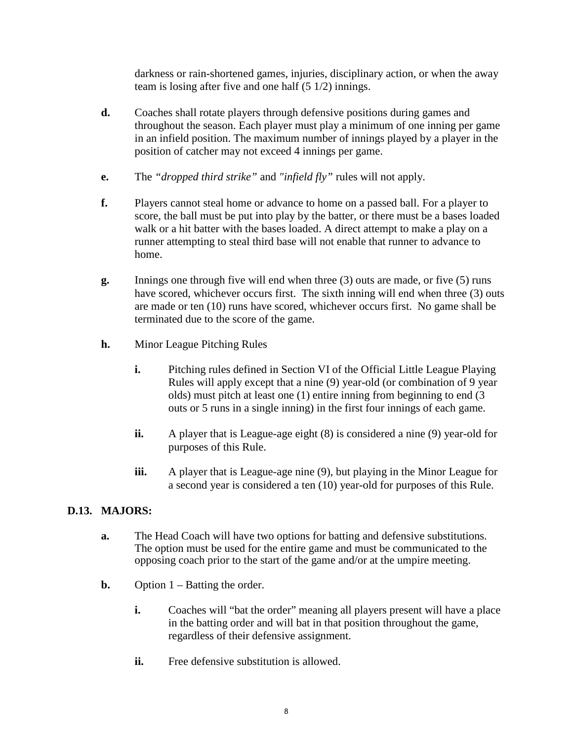darkness or rain-shortened games, injuries, disciplinary action, or when the away team is losing after five and one half (5 1/2) innings.

- **d.** Coaches shall rotate players through defensive positions during games and throughout the season. Each player must play a minimum of one inning per game in an infield position. The maximum number of innings played by a player in the position of catcher may not exceed 4 innings per game.
- **e.** The *"dropped third strike"* and *"infield fly"* rules will not apply.
- **f.** Players cannot steal home or advance to home on a passed ball. For a player to score, the ball must be put into play by the batter, or there must be a bases loaded walk or a hit batter with the bases loaded. A direct attempt to make a play on a runner attempting to steal third base will not enable that runner to advance to home.
- **g.** Innings one through five will end when three (3) outs are made, or five (5) runs have scored, whichever occurs first. The sixth inning will end when three (3) outs are made or ten (10) runs have scored, whichever occurs first. No game shall be terminated due to the score of the game.
- **h.** Minor League Pitching Rules
	- **i.** Pitching rules defined in Section VI of the Official Little League Playing Rules will apply except that a nine (9) year-old (or combination of 9 year olds) must pitch at least one (1) entire inning from beginning to end (3 outs or 5 runs in a single inning) in the first four innings of each game.
	- **ii.** A player that is League-age eight (8) is considered a nine (9) year-old for purposes of this Rule.
	- **iii.** A player that is League-age nine (9), but playing in the Minor League for a second year is considered a ten (10) year-old for purposes of this Rule.

## **D.13. MAJORS:**

- **a.** The Head Coach will have two options for batting and defensive substitutions. The option must be used for the entire game and must be communicated to the opposing coach prior to the start of the game and/or at the umpire meeting.
- **b.** Option 1 Batting the order.
	- **i.** Coaches will "bat the order" meaning all players present will have a place in the batting order and will bat in that position throughout the game, regardless of their defensive assignment.
	- **ii.** Free defensive substitution is allowed.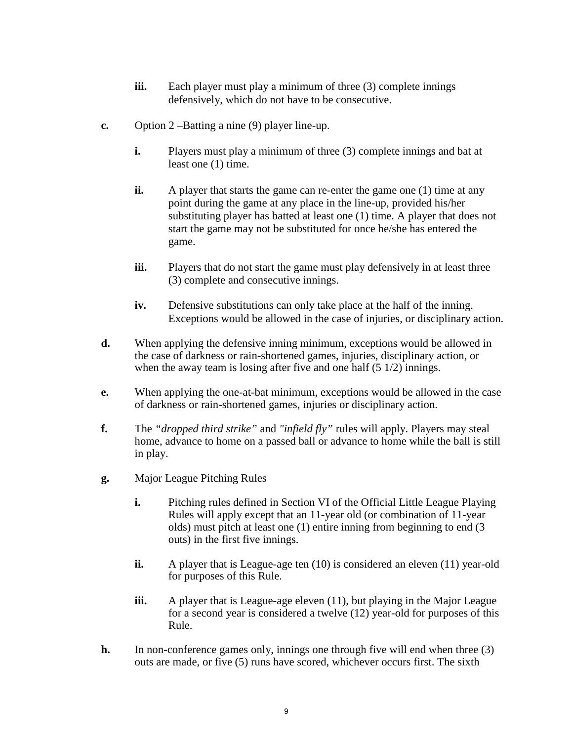- **iii.** Each player must play a minimum of three (3) complete innings defensively, which do not have to be consecutive.
- **c.** Option 2 –Batting a nine (9) player line-up.
	- **i.** Players must play a minimum of three (3) complete innings and bat at least one (1) time.
	- **ii.** A player that starts the game can re-enter the game one (1) time at any point during the game at any place in the line-up, provided his/her substituting player has batted at least one (1) time. A player that does not start the game may not be substituted for once he/she has entered the game.
	- **iii.** Players that do not start the game must play defensively in at least three (3) complete and consecutive innings.
	- **iv.** Defensive substitutions can only take place at the half of the inning. Exceptions would be allowed in the case of injuries, or disciplinary action.
- **d.** When applying the defensive inning minimum, exceptions would be allowed in the case of darkness or rain-shortened games, injuries, disciplinary action, or when the away team is losing after five and one half  $(5 \frac{1}{2})$  innings.
- **e.** When applying the one-at-bat minimum, exceptions would be allowed in the case of darkness or rain-shortened games, injuries or disciplinary action.
- **f.** The *"dropped third strike"* and *"infield fly"* rules will apply. Players may steal home, advance to home on a passed ball or advance to home while the ball is still in play.
- **g.** Major League Pitching Rules
	- **i.** Pitching rules defined in Section VI of the Official Little League Playing Rules will apply except that an 11-year old (or combination of 11-year olds) must pitch at least one (1) entire inning from beginning to end (3 outs) in the first five innings.
	- **ii.** A player that is League-age ten (10) is considered an eleven (11) year-old for purposes of this Rule.
	- **iii.** A player that is League-age eleven (11), but playing in the Major League for a second year is considered a twelve (12) year-old for purposes of this Rule.
- **h.** In non-conference games only, innings one through five will end when three (3) outs are made, or five (5) runs have scored, whichever occurs first. The sixth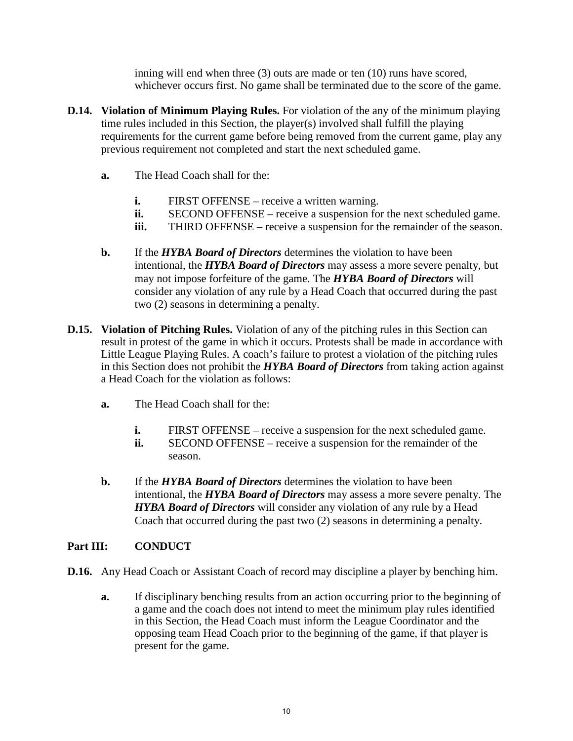inning will end when three (3) outs are made or ten (10) runs have scored, whichever occurs first. No game shall be terminated due to the score of the game.

- **D.14. Violation of Minimum Playing Rules.** For violation of the any of the minimum playing time rules included in this Section, the player(s) involved shall fulfill the playing requirements for the current game before being removed from the current game, play any previous requirement not completed and start the next scheduled game.
	- **a.** The Head Coach shall for the:
		- **i.** FIRST OFFENSE receive a written warning.
		- **ii.** SECOND OFFENSE receive a suspension for the next scheduled game.
		- **iii.** THIRD OFFENSE receive a suspension for the remainder of the season.
	- **b.** If the *HYBA Board of Directors* determines the violation to have been intentional, the *HYBA Board of Directors* may assess a more severe penalty, but may not impose forfeiture of the game. The *HYBA Board of Directors* will consider any violation of any rule by a Head Coach that occurred during the past two (2) seasons in determining a penalty.
- **D.15. Violation of Pitching Rules.** Violation of any of the pitching rules in this Section can result in protest of the game in which it occurs. Protests shall be made in accordance with Little League Playing Rules. A coach's failure to protest a violation of the pitching rules in this Section does not prohibit the *HYBA Board of Directors* from taking action against a Head Coach for the violation as follows:
	- **a.** The Head Coach shall for the:
		- **i.** FIRST OFFENSE receive a suspension for the next scheduled game.
		- **ii.** SECOND OFFENSE receive a suspension for the remainder of the season.
	- **b.** If the *HYBA Board of Directors* determines the violation to have been intentional, the *HYBA Board of Directors* may assess a more severe penalty. The *HYBA Board of Directors* will consider any violation of any rule by a Head Coach that occurred during the past two (2) seasons in determining a penalty.

## **Part III: CONDUCT**

**D.16.** Any Head Coach or Assistant Coach of record may discipline a player by benching him.

**a.** If disciplinary benching results from an action occurring prior to the beginning of a game and the coach does not intend to meet the minimum play rules identified in this Section, the Head Coach must inform the League Coordinator and the opposing team Head Coach prior to the beginning of the game, if that player is present for the game.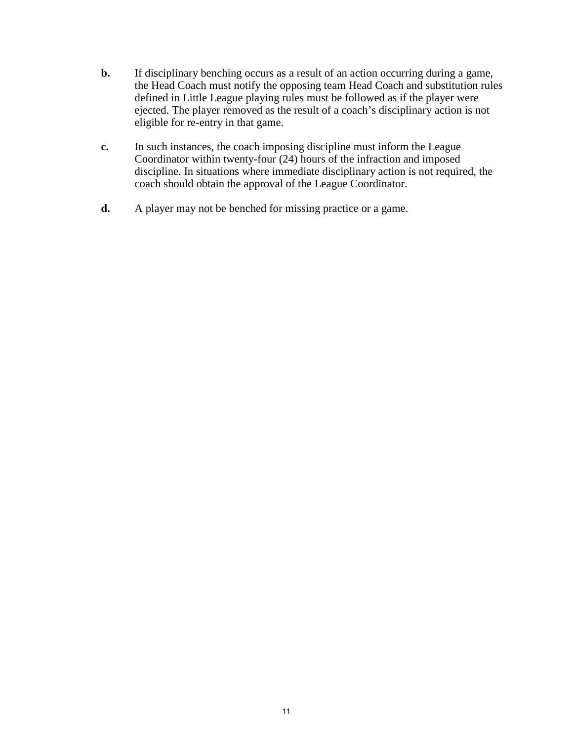- **b.** If disciplinary benching occurs as a result of an action occurring during a game, the Head Coach must notify the opposing team Head Coach and substitution rules defined in Little League playing rules must be followed as if the player were ejected. The player removed as the result of a coach's disciplinary action is not eligible for re-entry in that game.
- **c.** In such instances, the coach imposing discipline must inform the League Coordinator within twenty-four (24) hours of the infraction and imposed discipline. In situations where immediate disciplinary action is not required, the coach should obtain the approval of the League Coordinator.
- **d.** A player may not be benched for missing practice or a game.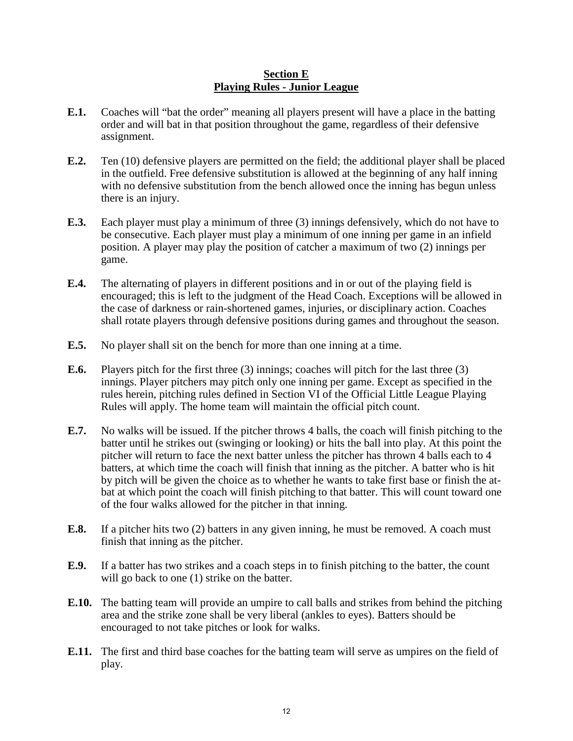## **Section E Playing Rules - Junior League**

- <span id="page-13-0"></span>**E.1.** Coaches will "bat the order" meaning all players present will have a place in the batting order and will bat in that position throughout the game, regardless of their defensive assignment.
- **E.2.** Ten (10) defensive players are permitted on the field; the additional player shall be placed in the outfield. Free defensive substitution is allowed at the beginning of any half inning with no defensive substitution from the bench allowed once the inning has begun unless there is an injury.
- **E.3.** Each player must play a minimum of three (3) innings defensively, which do not have to be consecutive. Each player must play a minimum of one inning per game in an infield position. A player may play the position of catcher a maximum of two (2) innings per game.
- **E.4.** The alternating of players in different positions and in or out of the playing field is encouraged; this is left to the judgment of the Head Coach. Exceptions will be allowed in the case of darkness or rain-shortened games, injuries, or disciplinary action. Coaches shall rotate players through defensive positions during games and throughout the season.
- **E.5.** No player shall sit on the bench for more than one inning at a time.
- **E.6.** Players pitch for the first three (3) innings; coaches will pitch for the last three (3) innings. Player pitchers may pitch only one inning per game. Except as specified in the rules herein, pitching rules defined in Section VI of the Official Little League Playing Rules will apply. The home team will maintain the official pitch count.
- **E.7.** No walks will be issued. If the pitcher throws 4 balls, the coach will finish pitching to the batter until he strikes out (swinging or looking) or hits the ball into play. At this point the pitcher will return to face the next batter unless the pitcher has thrown 4 balls each to 4 batters, at which time the coach will finish that inning as the pitcher. A batter who is hit by pitch will be given the choice as to whether he wants to take first base or finish the atbat at which point the coach will finish pitching to that batter. This will count toward one of the four walks allowed for the pitcher in that inning.
- **E.8.** If a pitcher hits two (2) batters in any given inning, he must be removed. A coach must finish that inning as the pitcher.
- **E.9.** If a batter has two strikes and a coach steps in to finish pitching to the batter, the count will go back to one (1) strike on the batter.
- **E.10.** The batting team will provide an umpire to call balls and strikes from behind the pitching area and the strike zone shall be very liberal (ankles to eyes). Batters should be encouraged to not take pitches or look for walks.
- **E.11.** The first and third base coaches for the batting team will serve as umpires on the field of play.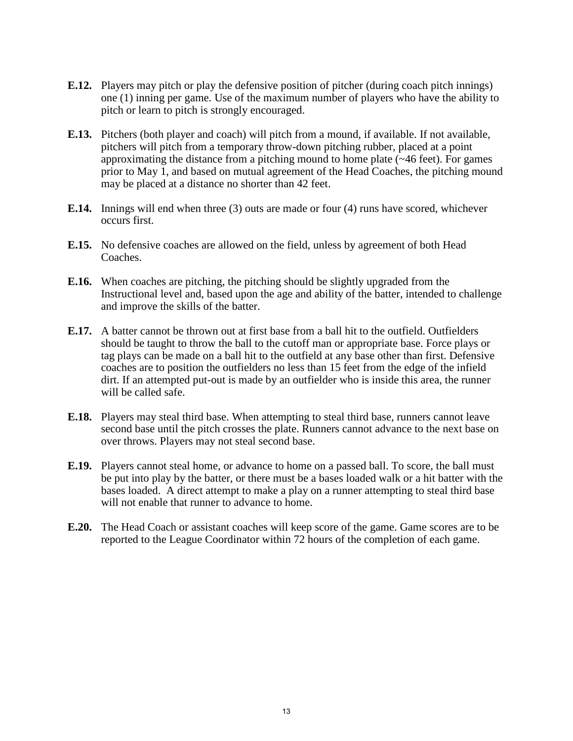- **E.12.** Players may pitch or play the defensive position of pitcher (during coach pitch innings) one (1) inning per game. Use of the maximum number of players who have the ability to pitch or learn to pitch is strongly encouraged.
- **E.13.** Pitchers (both player and coach) will pitch from a mound, if available. If not available, pitchers will pitch from a temporary throw-down pitching rubber, placed at a point approximating the distance from a pitching mound to home plate (~46 feet). For games prior to May 1, and based on mutual agreement of the Head Coaches, the pitching mound may be placed at a distance no shorter than 42 feet.
- **E.14.** Innings will end when three (3) outs are made or four (4) runs have scored, whichever occurs first.
- **E.15.** No defensive coaches are allowed on the field, unless by agreement of both Head Coaches.
- **E.16.** When coaches are pitching, the pitching should be slightly upgraded from the Instructional level and, based upon the age and ability of the batter, intended to challenge and improve the skills of the batter.
- **E.17.** A batter cannot be thrown out at first base from a ball hit to the outfield. Outfielders should be taught to throw the ball to the cutoff man or appropriate base. Force plays or tag plays can be made on a ball hit to the outfield at any base other than first. Defensive coaches are to position the outfielders no less than 15 feet from the edge of the infield dirt. If an attempted put-out is made by an outfielder who is inside this area, the runner will be called safe.
- **E.18.** Players may steal third base. When attempting to steal third base, runners cannot leave second base until the pitch crosses the plate. Runners cannot advance to the next base on over throws. Players may not steal second base.
- **E.19.** Players cannot steal home, or advance to home on a passed ball. To score, the ball must be put into play by the batter, or there must be a bases loaded walk or a hit batter with the bases loaded. A direct attempt to make a play on a runner attempting to steal third base will not enable that runner to advance to home.
- **E.20.** The Head Coach or assistant coaches will keep score of the game. Game scores are to be reported to the League Coordinator within 72 hours of the completion of each game.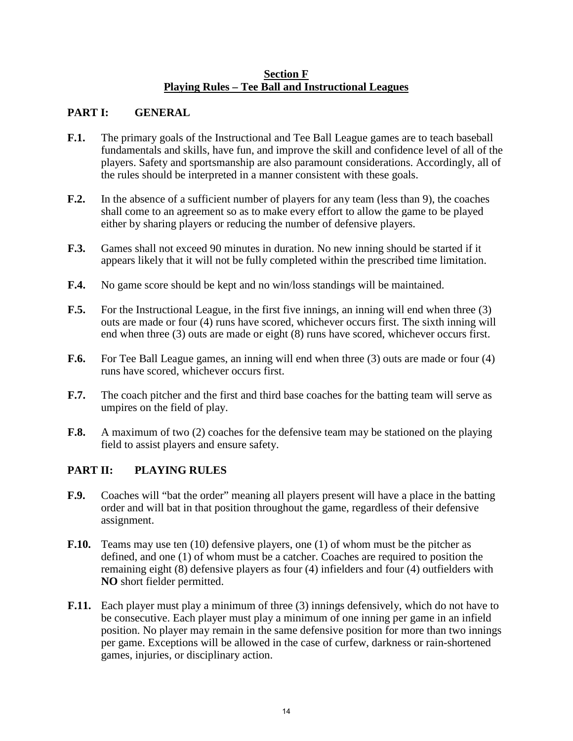## **Section F Playing Rules – Tee Ball and Instructional Leagues**

## <span id="page-15-0"></span>**PART I: GENERAL**

- **F.1.** The primary goals of the Instructional and Tee Ball League games are to teach baseball fundamentals and skills, have fun, and improve the skill and confidence level of all of the players. Safety and sportsmanship are also paramount considerations. Accordingly, all of the rules should be interpreted in a manner consistent with these goals.
- **F.2.** In the absence of a sufficient number of players for any team (less than 9), the coaches shall come to an agreement so as to make every effort to allow the game to be played either by sharing players or reducing the number of defensive players.
- **F.3.** Games shall not exceed 90 minutes in duration. No new inning should be started if it appears likely that it will not be fully completed within the prescribed time limitation.
- **F.4.** No game score should be kept and no win/loss standings will be maintained.
- **F.5.** For the Instructional League, in the first five innings, an inning will end when three (3) outs are made or four (4) runs have scored, whichever occurs first. The sixth inning will end when three (3) outs are made or eight (8) runs have scored, whichever occurs first.
- **F.6.** For Tee Ball League games, an inning will end when three (3) outs are made or four (4) runs have scored, whichever occurs first.
- **F.7.** The coach pitcher and the first and third base coaches for the batting team will serve as umpires on the field of play.
- **F.8.** A maximum of two (2) coaches for the defensive team may be stationed on the playing field to assist players and ensure safety.

## **PART II: PLAYING RULES**

- **F.9.** Coaches will "bat the order" meaning all players present will have a place in the batting order and will bat in that position throughout the game, regardless of their defensive assignment.
- **F.10.** Teams may use ten (10) defensive players, one (1) of whom must be the pitcher as defined, and one (1) of whom must be a catcher. Coaches are required to position the remaining eight (8) defensive players as four (4) infielders and four (4) outfielders with **NO** short fielder permitted.
- **F.11.** Each player must play a minimum of three (3) innings defensively, which do not have to be consecutive. Each player must play a minimum of one inning per game in an infield position. No player may remain in the same defensive position for more than two innings per game. Exceptions will be allowed in the case of curfew, darkness or rain-shortened games, injuries, or disciplinary action.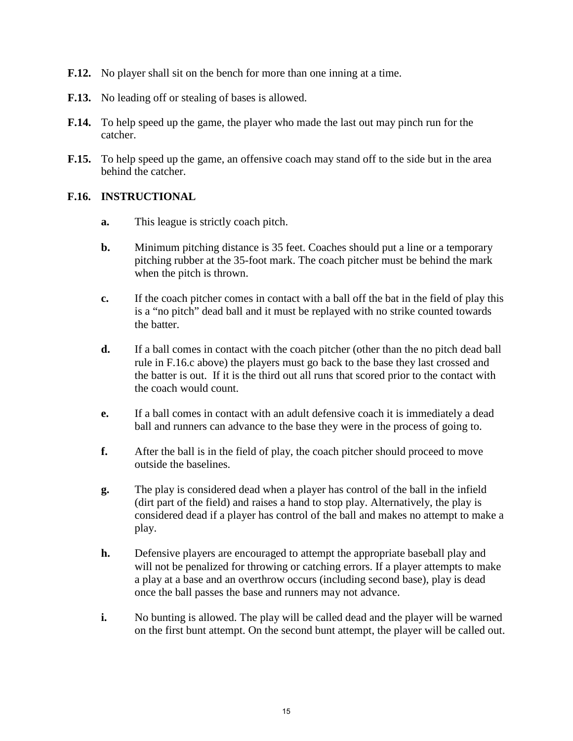- **F.12.** No player shall sit on the bench for more than one inning at a time.
- **F.13.** No leading off or stealing of bases is allowed.
- **F.14.** To help speed up the game, the player who made the last out may pinch run for the catcher.
- **F.15.** To help speed up the game, an offensive coach may stand off to the side but in the area behind the catcher.

## **F.16. INSTRUCTIONAL**

- **a.** This league is strictly coach pitch.
- **b.** Minimum pitching distance is 35 feet. Coaches should put a line or a temporary pitching rubber at the 35-foot mark. The coach pitcher must be behind the mark when the pitch is thrown.
- **c.** If the coach pitcher comes in contact with a ball off the bat in the field of play this is a "no pitch" dead ball and it must be replayed with no strike counted towards the batter.
- **d.** If a ball comes in contact with the coach pitcher (other than the no pitch dead ball rule in F.16.c above) the players must go back to the base they last crossed and the batter is out. If it is the third out all runs that scored prior to the contact with the coach would count.
- **e.** If a ball comes in contact with an adult defensive coach it is immediately a dead ball and runners can advance to the base they were in the process of going to.
- **f.** After the ball is in the field of play, the coach pitcher should proceed to move outside the baselines.
- **g.** The play is considered dead when a player has control of the ball in the infield (dirt part of the field) and raises a hand to stop play. Alternatively, the play is considered dead if a player has control of the ball and makes no attempt to make a play.
- **h.** Defensive players are encouraged to attempt the appropriate baseball play and will not be penalized for throwing or catching errors. If a player attempts to make a play at a base and an overthrow occurs (including second base), play is dead once the ball passes the base and runners may not advance.
- **i.** No bunting is allowed. The play will be called dead and the player will be warned on the first bunt attempt. On the second bunt attempt, the player will be called out.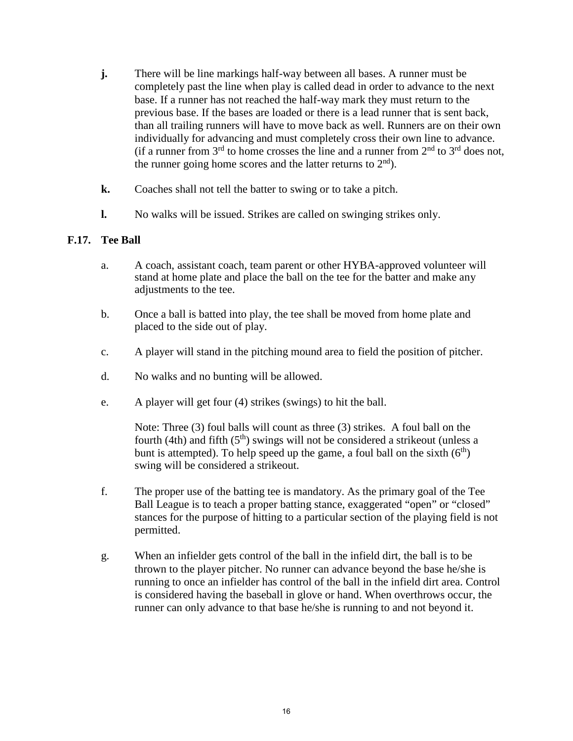- **j.** There will be line markings half-way between all bases. A runner must be completely past the line when play is called dead in order to advance to the next base. If a runner has not reached the half-way mark they must return to the previous base. If the bases are loaded or there is a lead runner that is sent back, than all trailing runners will have to move back as well. Runners are on their own individually for advancing and must completely cross their own line to advance. (if a runner from  $3<sup>rd</sup>$  to home crosses the line and a runner from  $2<sup>nd</sup>$  to  $3<sup>rd</sup>$  does not, the runner going home scores and the latter returns to  $2<sup>nd</sup>$ .
- **k.** Coaches shall not tell the batter to swing or to take a pitch.
- **l.** No walks will be issued. Strikes are called on swinging strikes only.

## **F.17. Tee Ball**

- a. A coach, assistant coach, team parent or other HYBA-approved volunteer will stand at home plate and place the ball on the tee for the batter and make any adjustments to the tee.
- b. Once a ball is batted into play, the tee shall be moved from home plate and placed to the side out of play.
- c. A player will stand in the pitching mound area to field the position of pitcher.
- d. No walks and no bunting will be allowed.
- e. A player will get four (4) strikes (swings) to hit the ball.

Note: Three (3) foul balls will count as three (3) strikes. A foul ball on the fourth (4th) and fifth  $(5<sup>th</sup>)$  swings will not be considered a strikeout (unless a bunt is attempted). To help speed up the game, a foul ball on the sixth  $(6<sup>th</sup>)$ swing will be considered a strikeout.

- f. The proper use of the batting tee is mandatory. As the primary goal of the Tee Ball League is to teach a proper batting stance, exaggerated "open" or "closed" stances for the purpose of hitting to a particular section of the playing field is not permitted.
- g. When an infielder gets control of the ball in the infield dirt, the ball is to be thrown to the player pitcher. No runner can advance beyond the base he/she is running to once an infielder has control of the ball in the infield dirt area. Control is considered having the baseball in glove or hand. When overthrows occur, the runner can only advance to that base he/she is running to and not beyond it.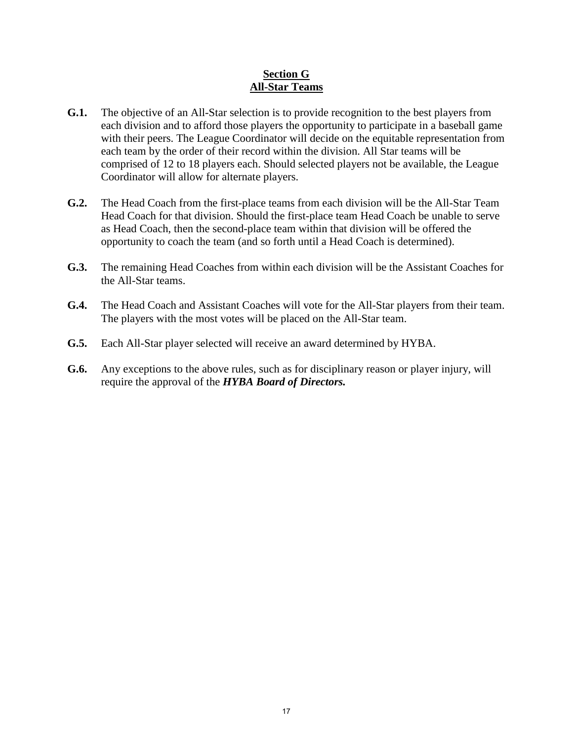## **Section G All-Star Teams**

- <span id="page-18-0"></span>**G.1.** The objective of an All-Star selection is to provide recognition to the best players from each division and to afford those players the opportunity to participate in a baseball game with their peers. The League Coordinator will decide on the equitable representation from each team by the order of their record within the division. All Star teams will be comprised of 12 to 18 players each. Should selected players not be available, the League Coordinator will allow for alternate players.
- **G.2.** The Head Coach from the first-place teams from each division will be the All-Star Team Head Coach for that division. Should the first-place team Head Coach be unable to serve as Head Coach, then the second-place team within that division will be offered the opportunity to coach the team (and so forth until a Head Coach is determined).
- **G.3.** The remaining Head Coaches from within each division will be the Assistant Coaches for the All-Star teams.
- **G.4.** The Head Coach and Assistant Coaches will vote for the All-Star players from their team. The players with the most votes will be placed on the All-Star team.
- **G.5.** Each All-Star player selected will receive an award determined by HYBA.
- **G.6.** Any exceptions to the above rules, such as for disciplinary reason or player injury, will require the approval of the *HYBA Board of Directors.*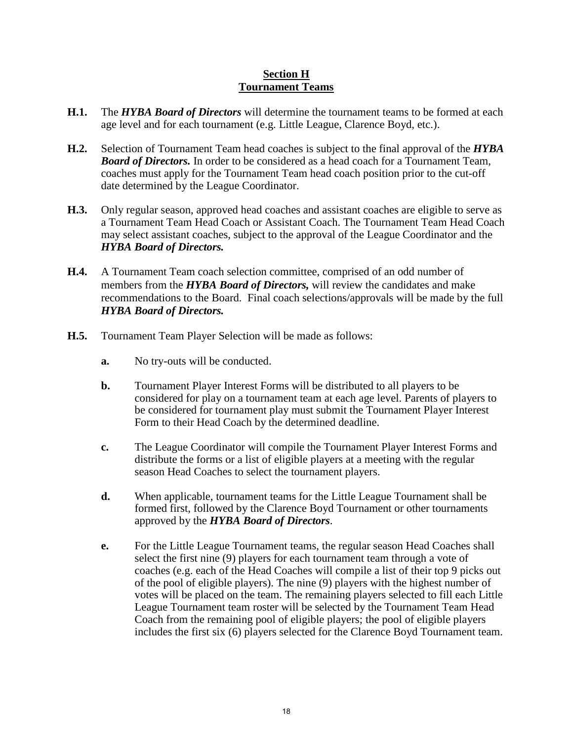## **Section H Tournament Teams**

- <span id="page-19-0"></span>**H.1.** The *HYBA Board of Directors* will determine the tournament teams to be formed at each age level and for each tournament (e.g. Little League, Clarence Boyd, etc.).
- **H.2.** Selection of Tournament Team head coaches is subject to the final approval of the *HYBA Board of Directors.* In order to be considered as a head coach for a Tournament Team, coaches must apply for the Tournament Team head coach position prior to the cut-off date determined by the League Coordinator.
- **H.3.** Only regular season, approved head coaches and assistant coaches are eligible to serve as a Tournament Team Head Coach or Assistant Coach. The Tournament Team Head Coach may select assistant coaches, subject to the approval of the League Coordinator and the *HYBA Board of Directors.*
- **H.4.** A Tournament Team coach selection committee, comprised of an odd number of members from the *HYBA Board of Directors,* will review the candidates and make recommendations to the Board. Final coach selections/approvals will be made by the full *HYBA Board of Directors.*
- **H.5.** Tournament Team Player Selection will be made as follows:
	- **a.** No try-outs will be conducted.
	- **b.** Tournament Player Interest Forms will be distributed to all players to be considered for play on a tournament team at each age level. Parents of players to be considered for tournament play must submit the Tournament Player Interest Form to their Head Coach by the determined deadline.
	- **c.** The League Coordinator will compile the Tournament Player Interest Forms and distribute the forms or a list of eligible players at a meeting with the regular season Head Coaches to select the tournament players.
	- **d.** When applicable, tournament teams for the Little League Tournament shall be formed first, followed by the Clarence Boyd Tournament or other tournaments approved by the *HYBA Board of Directors*.
	- **e.** For the Little League Tournament teams, the regular season Head Coaches shall select the first nine (9) players for each tournament team through a vote of coaches (e.g. each of the Head Coaches will compile a list of their top 9 picks out of the pool of eligible players). The nine (9) players with the highest number of votes will be placed on the team. The remaining players selected to fill each Little League Tournament team roster will be selected by the Tournament Team Head Coach from the remaining pool of eligible players; the pool of eligible players includes the first six (6) players selected for the Clarence Boyd Tournament team.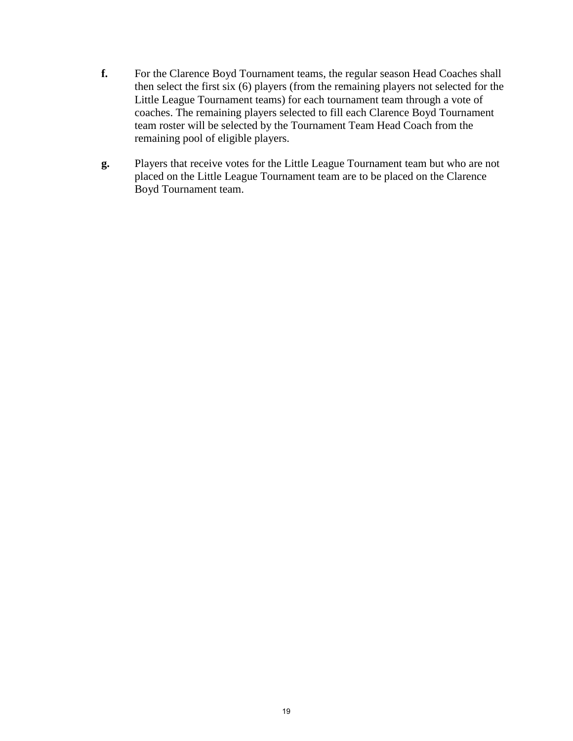- **f.** For the Clarence Boyd Tournament teams, the regular season Head Coaches shall then select the first six (6) players (from the remaining players not selected for the Little League Tournament teams) for each tournament team through a vote of coaches. The remaining players selected to fill each Clarence Boyd Tournament team roster will be selected by the Tournament Team Head Coach from the remaining pool of eligible players.
- **g.** Players that receive votes for the Little League Tournament team but who are not placed on the Little League Tournament team are to be placed on the Clarence Boyd Tournament team.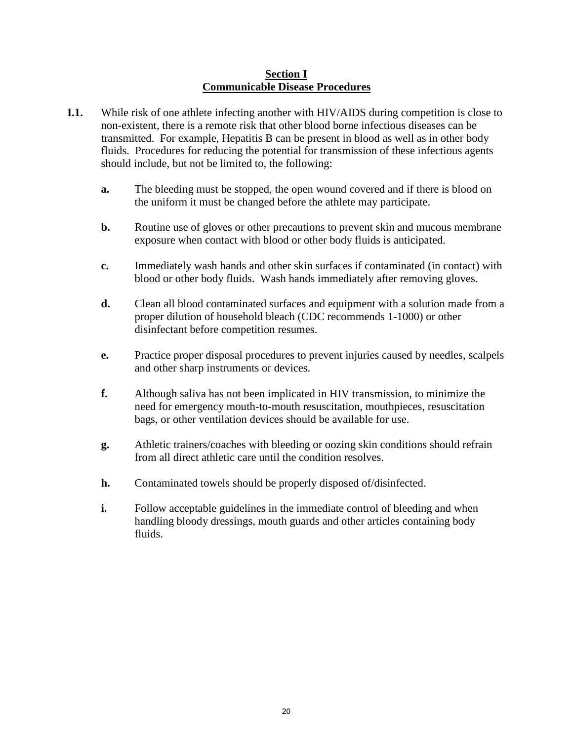## **Section I Communicable Disease Procedures**

- <span id="page-21-0"></span>**I.1.** While risk of one athlete infecting another with HIV/AIDS during competition is close to non-existent, there is a remote risk that other blood borne infectious diseases can be transmitted. For example, Hepatitis B can be present in blood as well as in other body fluids. Procedures for reducing the potential for transmission of these infectious agents should include, but not be limited to, the following:
	- **a.** The bleeding must be stopped, the open wound covered and if there is blood on the uniform it must be changed before the athlete may participate.
	- **b.** Routine use of gloves or other precautions to prevent skin and mucous membrane exposure when contact with blood or other body fluids is anticipated.
	- **c.** Immediately wash hands and other skin surfaces if contaminated (in contact) with blood or other body fluids. Wash hands immediately after removing gloves.
	- **d.** Clean all blood contaminated surfaces and equipment with a solution made from a proper dilution of household bleach (CDC recommends 1-1000) or other disinfectant before competition resumes.
	- **e.** Practice proper disposal procedures to prevent injuries caused by needles, scalpels and other sharp instruments or devices.
	- **f.** Although saliva has not been implicated in HIV transmission, to minimize the need for emergency mouth-to-mouth resuscitation, mouthpieces, resuscitation bags, or other ventilation devices should be available for use.
	- **g.** Athletic trainers/coaches with bleeding or oozing skin conditions should refrain from all direct athletic care until the condition resolves.
	- **h.** Contaminated towels should be properly disposed of/disinfected.
	- **i.** Follow acceptable guidelines in the immediate control of bleeding and when handling bloody dressings, mouth guards and other articles containing body fluids.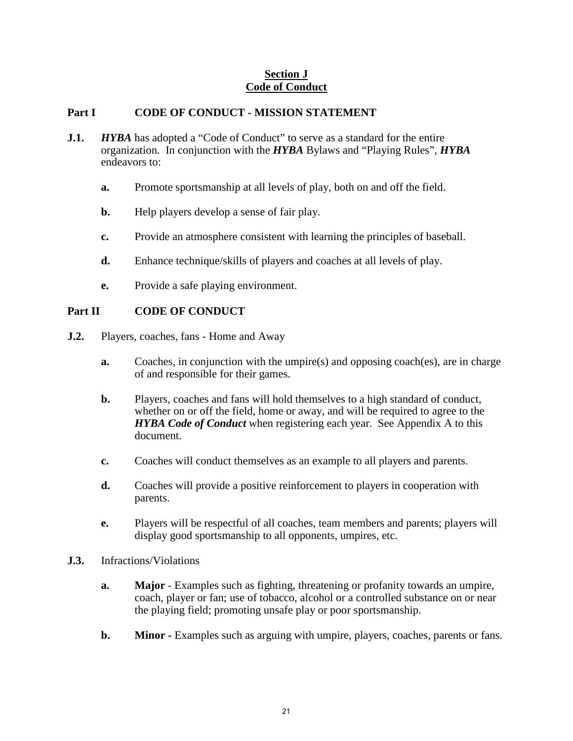## **Section J Code of Conduct**

## <span id="page-22-0"></span>**Part I CODE OF CONDUCT - MISSION STATEMENT**

- **J.1.** *HYBA* has adopted a "Code of Conduct" to serve as a standard for the entire organization. In conjunction with the *HYBA* Bylaws and "Playing Rules", *HYBA*  endeavors to:
	- **a.** Promote sportsmanship at all levels of play, both on and off the field.
	- **b.** Help players develop a sense of fair play.
	- **c.** Provide an atmosphere consistent with learning the principles of baseball.
	- **d.** Enhance technique/skills of players and coaches at all levels of play.
	- **e.** Provide a safe playing environment.

## **Part II CODE OF CONDUCT**

- **J.2.** Players, coaches, fans Home and Away
	- **a.** Coaches, in conjunction with the umpire(s) and opposing coach(es), are in charge of and responsible for their games.
	- **b.** Players, coaches and fans will hold themselves to a high standard of conduct, whether on or off the field, home or away, and will be required to agree to the *HYBA Code of Conduct* when registering each year. See Appendix A to this document.
	- **c.** Coaches will conduct themselves as an example to all players and parents.
	- **d.** Coaches will provide a positive reinforcement to players in cooperation with parents.
	- **e.** Players will be respectful of all coaches, team members and parents; players will display good sportsmanship to all opponents, umpires, etc.
- **J.3.** Infractions/Violations
	- **a. Major** Examples such as fighting, threatening or profanity towards an umpire, coach, player or fan; use of tobacco, alcohol or a controlled substance on or near the playing field; promoting unsafe play or poor sportsmanship.
	- **b. Minor** Examples such as arguing with umpire, players, coaches, parents or fans.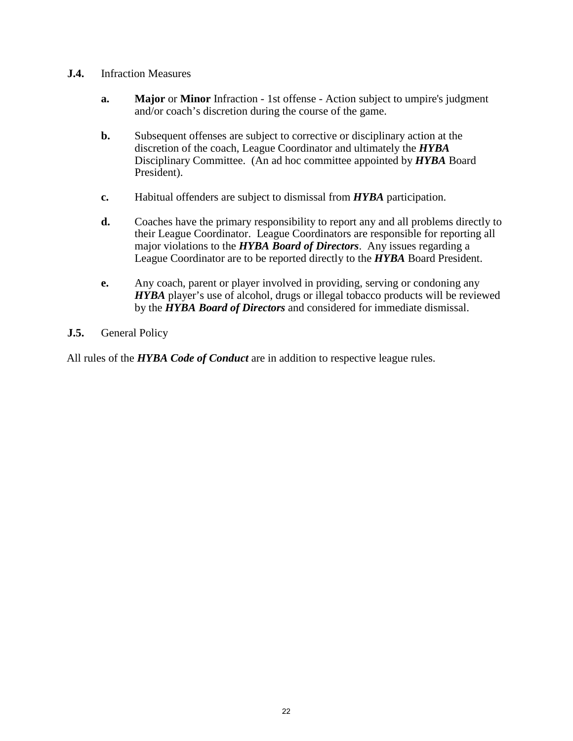- **J.4.** Infraction Measures
	- **a. Major** or **Minor** Infraction 1st offense Action subject to umpire's judgment and/or coach's discretion during the course of the game.
	- **b.** Subsequent offenses are subject to corrective or disciplinary action at the discretion of the coach, League Coordinator and ultimately the *HYBA*  Disciplinary Committee. (An ad hoc committee appointed by *HYBA* Board President).
	- **c.** Habitual offenders are subject to dismissal from *HYBA* participation.
	- **d.** Coaches have the primary responsibility to report any and all problems directly to their League Coordinator. League Coordinators are responsible for reporting all major violations to the *HYBA Board of Directors*. Any issues regarding a League Coordinator are to be reported directly to the *HYBA* Board President.
	- **e.** Any coach, parent or player involved in providing, serving or condoning any *HYBA* player's use of alcohol, drugs or illegal tobacco products will be reviewed by the *HYBA Board of Directors* and considered for immediate dismissal.
- **J.5.** General Policy

All rules of the *HYBA Code of Conduct* are in addition to respective league rules.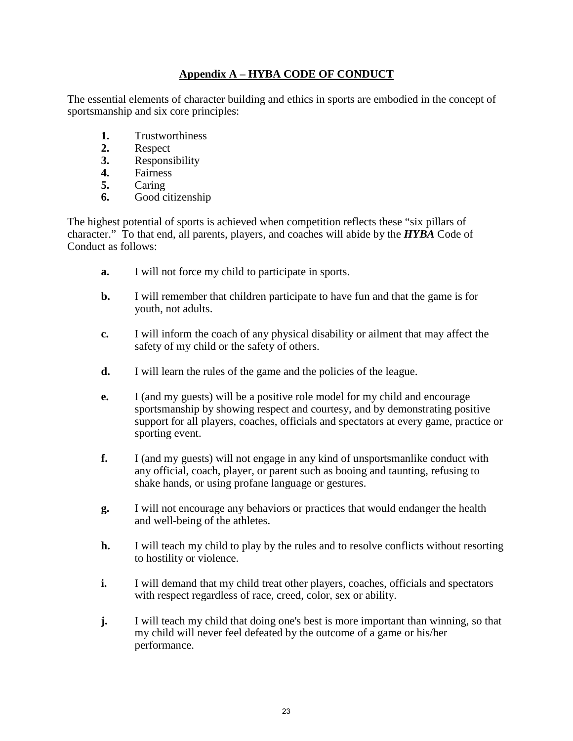## **Appendix A – HYBA CODE OF CONDUCT**

<span id="page-24-0"></span>The essential elements of character building and ethics in sports are embodied in the concept of sportsmanship and six core principles:

- 1. Trustworthiness<br>2. Respect
- 
- 2. Respect<br>3. Respons **3.** Responsibility
- 4. Fairness<br>5. Caring
- **5.** Caring
- **6.** Good citizenship

The highest potential of sports is achieved when competition reflects these "six pillars of character." To that end, all parents, players, and coaches will abide by the *HYBA* Code of Conduct as follows:

- **a.** I will not force my child to participate in sports.
- **b.** I will remember that children participate to have fun and that the game is for youth, not adults.
- **c.** I will inform the coach of any physical disability or ailment that may affect the safety of my child or the safety of others.
- **d.** I will learn the rules of the game and the policies of the league.
- **e.** I (and my guests) will be a positive role model for my child and encourage sportsmanship by showing respect and courtesy, and by demonstrating positive support for all players, coaches, officials and spectators at every game, practice or sporting event.
- **f.** I (and my guests) will not engage in any kind of unsportsmanlike conduct with any official, coach, player, or parent such as booing and taunting, refusing to shake hands, or using profane language or gestures.
- **g.** I will not encourage any behaviors or practices that would endanger the health and well-being of the athletes.
- **h.** I will teach my child to play by the rules and to resolve conflicts without resorting to hostility or violence.
- **i.** I will demand that my child treat other players, coaches, officials and spectators with respect regardless of race, creed, color, sex or ability.
- **j.** I will teach my child that doing one's best is more important than winning, so that my child will never feel defeated by the outcome of a game or his/her performance.